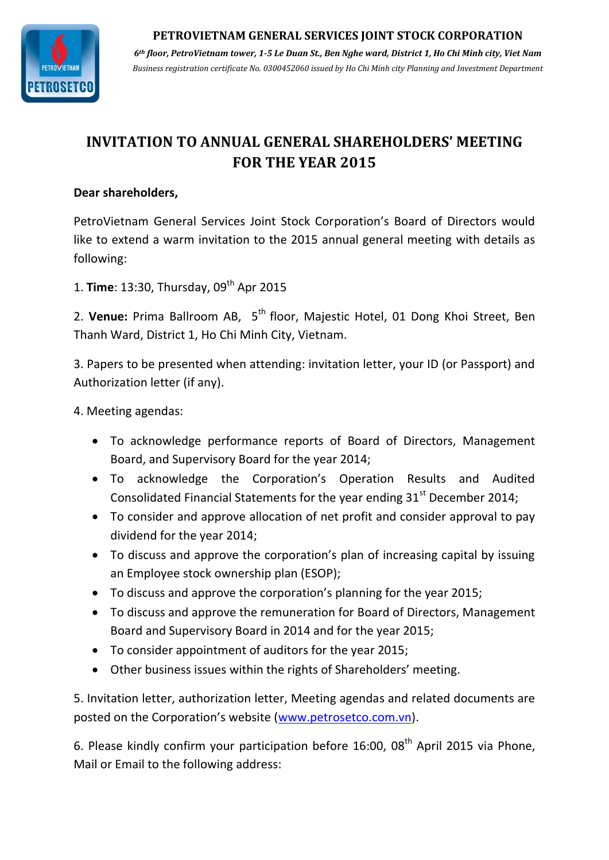#### **PETROVIETNAM GENERAL SERVICES JOINT STOCK CORPORATION**



*6th floor, PetroVietnam tower, 1-5 Le Duan St., Ben Nghe ward, District 1, Ho Chi Minh city, Viet Nam Business registration certificate No. 0300452060 issued by Ho Chi Minh city Planning and Investment Department*

# **INVITATION TO ANNUAL GENERAL SHAREHOLDERS' MEETING FOR THE YEAR 2015**

### **Dear shareholders,**

PetroVietnam General Services Joint Stock Corporation's Board of Directors would like to extend a warm invitation to the 2015 annual general meeting with details as following:

1. **Time**: 13:30, Thursday, 09<sup>th</sup> Apr 2015

2. Venue: Prima Ballroom AB, 5<sup>th</sup> floor, Majestic Hotel, 01 Dong Khoi Street, Ben Thanh Ward, District 1, Ho Chi Minh City, Vietnam.

3. Papers to be presented when attending: invitation letter, your ID (or Passport) and Authorization letter (if any).

## 4. Meeting agendas:

- To acknowledge performance reports of Board of Directors, Management Board, and Supervisory Board for the year 2014;
- To acknowledge the Corporation's Operation Results and Audited Consolidated Financial Statements for the year ending  $31<sup>st</sup>$  December 2014;
- To consider and approve allocation of net profit and consider approval to pay dividend for the year 2014;
- To discuss and approve the corporation's plan of increasing capital by issuing an Employee stock ownership plan (ESOP);
- To discuss and approve the corporation's planning for the year 2015;
- To discuss and approve the remuneration for Board of Directors, Management Board and Supervisory Board in 2014 and for the year 2015;
- To consider appointment of auditors for the year 2015;
- Other business issues within the rights of Shareholders' meeting.

5. Invitation letter, authorization letter, Meeting agendas and related documents are posted on the Corporation's website ([www.petrosetco.com.vn\)](http://www.petrosetco.com.vn/).

6. Please kindly confirm your participation before  $16:00$ ,  $08<sup>th</sup>$  April 2015 via Phone, Mail or Email to the following address: